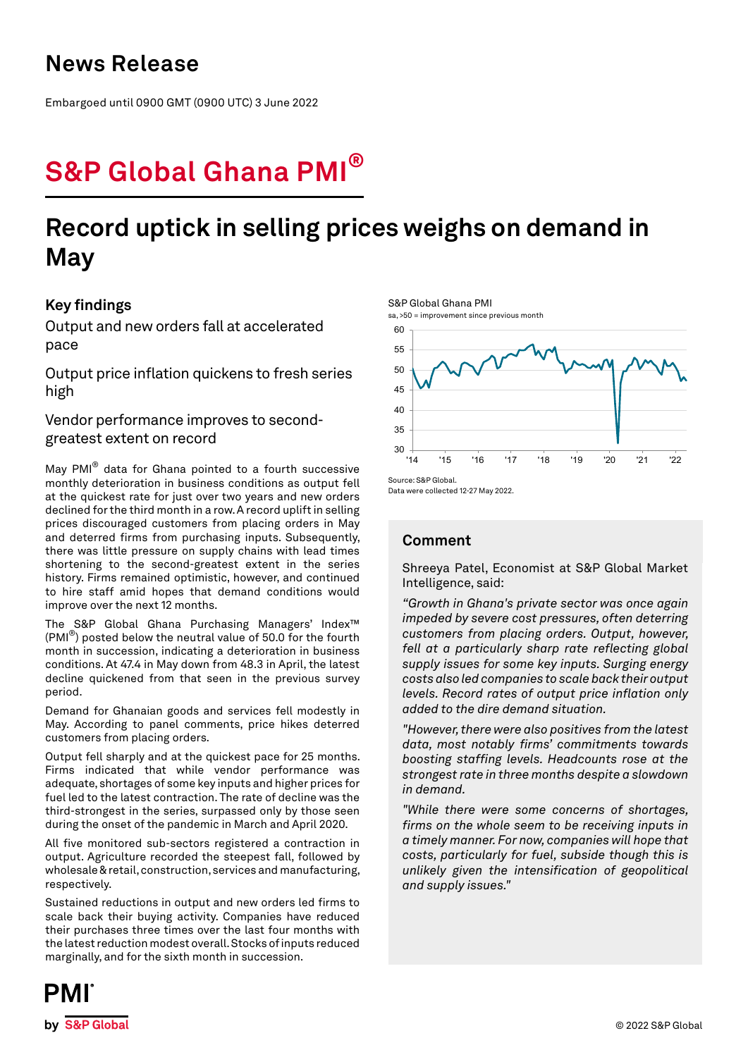## **News Release**

Embargoed until 0900 GMT (0900 UTC) 3 June 2022

# **S&P Global Ghana PMI®**

## **Record uptick in selling prices weighs on demand in May**

## **Key findings**

Output and new orders fall at accelerated pace

Output price inflation quickens to fresh series high

Vendor performance improves to secondgreatest extent on record

May PMI® data for Ghana pointed to a fourth successive monthly deterioration in business conditions as output fell at the quickest rate for just over two years and new orders declined for the third month in a row. A record uplift in selling prices discouraged customers from placing orders in May and deterred firms from purchasing inputs. Subsequently, there was little pressure on supply chains with lead times shortening to the second-greatest extent in the series history. Firms remained optimistic, however, and continued to hire staff amid hopes that demand conditions would improve over the next 12 months.

The S&P Global Ghana Purchasing Managers' Index™  $(PMI^{\circledR})$  posted below the neutral value of 50.0 for the fourth month in succession, indicating a deterioration in business conditions. At 47.4 in May down from 48.3 in April, the latest decline quickened from that seen in the previous survey period.

Demand for Ghanaian goods and services fell modestly in May. According to panel comments, price hikes deterred customers from placing orders.

Output fell sharply and at the quickest pace for 25 months. Firms indicated that while vendor performance was adequate, shortages of some key inputs and higher prices for fuel led to the latest contraction. The rate of decline was the third-strongest in the series, surpassed only by those seen during the onset of the pandemic in March and April 2020.

All five monitored sub-sectors registered a contraction in output. Agriculture recorded the steepest fall, followed by wholesale & retail, construction, services and manufacturing, respectively.

Sustained reductions in output and new orders led firms to scale back their buying activity. Companies have reduced their purchases three times over the last four months with the latest reduction modest overall. Stocks of inputs reduced marginally, and for the sixth month in succession.



## **Comment**

Shreeya Patel, Economist at S&P Global Market Intelligence, said:

*"Growth in Ghana's private sector was once again impeded by severe cost pressures, often deterring customers from placing orders. Output, however, fell at a particularly sharp rate reflecting global supply issues for some key inputs. Surging energy costs also led companies to scale back their output levels. Record rates of output price inflation only added to the dire demand situation.* 

*"However, there were also positives from the latest data, most notably firms' commitments towards boosting staffing levels. Headcounts rose at the strongest rate in three months despite a slowdown in demand.* 

*"While there were some concerns of shortages, firms on the whole seem to be receiving inputs in a timely manner. For now, companies will hope that costs, particularly for fuel, subside though this is unlikely given the intensification of geopolitical and supply issues."*